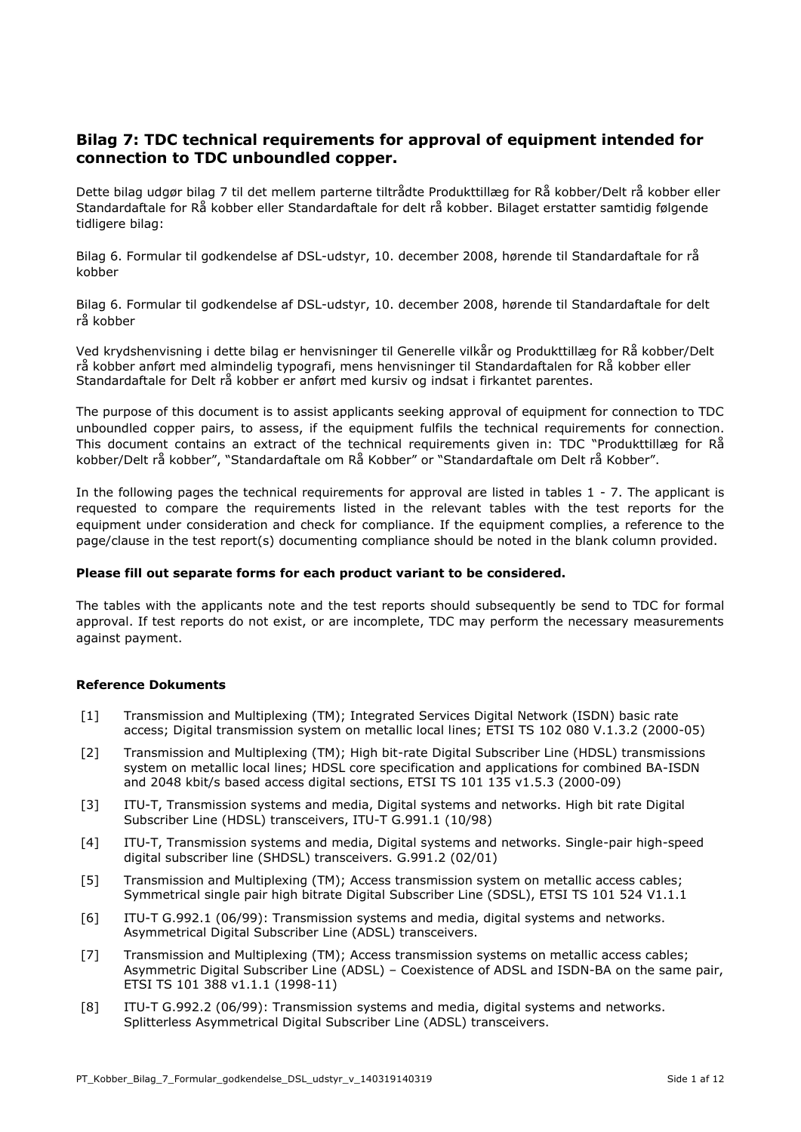### **Bilag 7: TDC technical requirements for approval of equipment intended for connection to TDC unboundled copper.**

Dette bilag udgør bilag 7 til det mellem parterne tiltrådte Produkttillæg for Rå kobber/Delt rå kobber eller Standardaftale for Rå kobber eller Standardaftale for delt rå kobber. Bilaget erstatter samtidig følgende tidligere bilag:

Bilag 6. Formular til godkendelse af DSL-udstyr, 10. december 2008, hørende til Standardaftale for rå kobber

Bilag 6. Formular til godkendelse af DSL-udstyr, 10. december 2008, hørende til Standardaftale for delt rå kobber

Ved krydshenvisning i dette bilag er henvisninger til Generelle vilkår og Produkttillæg for Rå kobber/Delt rå kobber anført med almindelig typografi, mens henvisninger til Standardaftalen for Rå kobber eller Standardaftale for Delt rå kobber er anført med kursiv og indsat i firkantet parentes.

The purpose of this document is to assist applicants seeking approval of equipment for connection to TDC unboundled copper pairs, to assess, if the equipment fulfils the technical requirements for connection. This document contains an extract of the technical requirements given in: TDC "Produkttillæg for Rå kobber/Delt rå kobber", "Standardaftale om Rå Kobber" or "Standardaftale om Delt rå Kobber".

In the following pages the technical requirements for approval are listed in tables 1 - 7. The applicant is requested to compare the requirements listed in the relevant tables with the test reports for the equipment under consideration and check for compliance. If the equipment complies, a reference to the page/clause in the test report(s) documenting compliance should be noted in the blank column provided.

#### **Please fill out separate forms for each product variant to be considered.**

The tables with the applicants note and the test reports should subsequently be send to TDC for formal approval. If test reports do not exist, or are incomplete, TDC may perform the necessary measurements against payment.

#### **Reference Dokuments**

- [1] Transmission and Multiplexing (TM); Integrated Services Digital Network (ISDN) basic rate access; Digital transmission system on metallic local lines; ETSI TS 102 080 V.1.3.2 (2000-05)
- [2] Transmission and Multiplexing (TM); High bit-rate Digital Subscriber Line (HDSL) transmissions system on metallic local lines; HDSL core specification and applications for combined BA-ISDN and 2048 kbit/s based access digital sections, ETSI TS 101 135 v1.5.3 (2000-09)
- [3] ITU-T, Transmission systems and media, Digital systems and networks. High bit rate Digital Subscriber Line (HDSL) transceivers, ITU-T G.991.1 (10/98)
- [4] ITU-T, Transmission systems and media, Digital systems and networks. Single-pair high-speed digital subscriber line (SHDSL) transceivers. G.991.2 (02/01)
- [5] Transmission and Multiplexing (TM); Access transmission system on metallic access cables; Symmetrical single pair high bitrate Digital Subscriber Line (SDSL), ETSI TS 101 524 V1.1.1
- [6] ITU-T G.992.1 (06/99): Transmission systems and media, digital systems and networks. Asymmetrical Digital Subscriber Line (ADSL) transceivers.
- [7] Transmission and Multiplexing (TM); Access transmission systems on metallic access cables; Asymmetric Digital Subscriber Line (ADSL) – Coexistence of ADSL and ISDN-BA on the same pair, ETSI TS 101 388 v1.1.1 (1998-11)
- [8] ITU-T G.992.2 (06/99): Transmission systems and media, digital systems and networks. Splitterless Asymmetrical Digital Subscriber Line (ADSL) transceivers.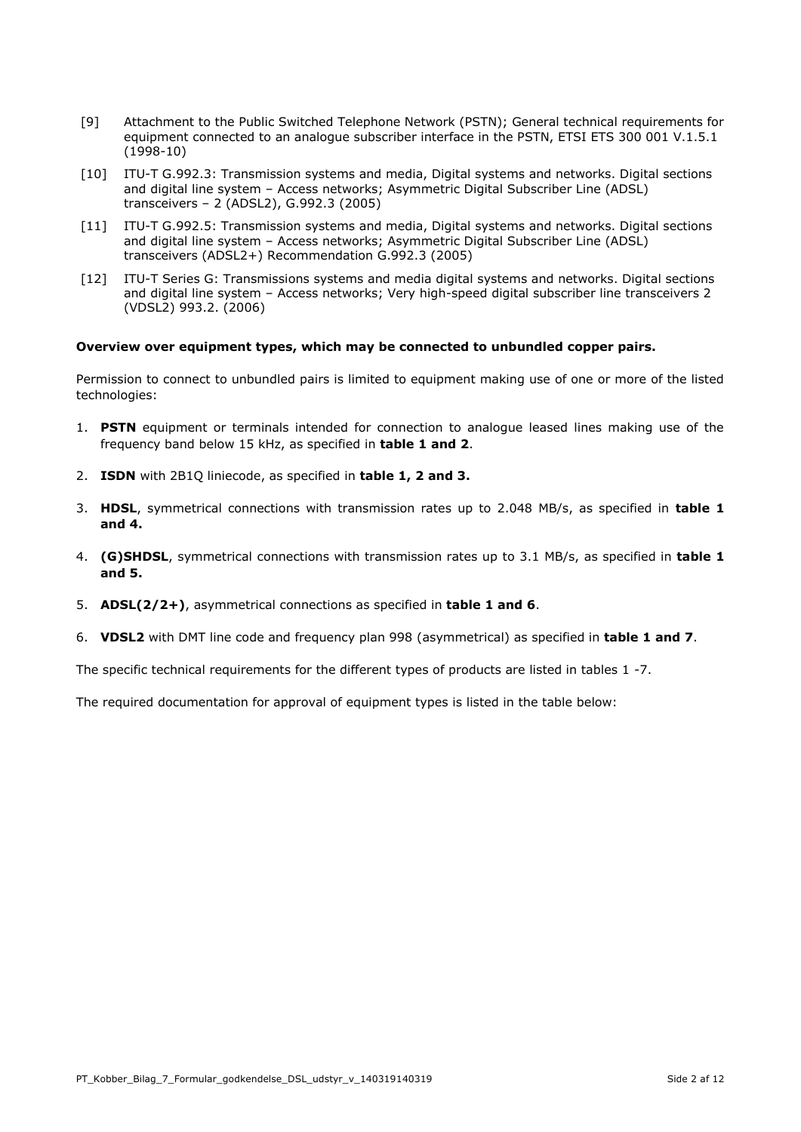- [9] Attachment to the Public Switched Telephone Network (PSTN); General technical requirements for equipment connected to an analogue subscriber interface in the PSTN, ETSI ETS 300 001 V.1.5.1 (1998-10)
- [10] ITU-T G.992.3: Transmission systems and media, Digital systems and networks. Digital sections and digital line system – Access networks; Asymmetric Digital Subscriber Line (ADSL) transceivers – 2 (ADSL2), G.992.3 (2005)
- [11] ITU-T G.992.5: Transmission systems and media, Digital systems and networks. Digital sections and digital line system – Access networks; Asymmetric Digital Subscriber Line (ADSL) transceivers (ADSL2+) Recommendation G.992.3 (2005)
- [12] ITU-T Series G: Transmissions systems and media digital systems and networks. Digital sections and digital line system – Access networks; Very high-speed digital subscriber line transceivers 2 (VDSL2) 993.2. (2006)

#### **Overview over equipment types, which may be connected to unbundled copper pairs.**

Permission to connect to unbundled pairs is limited to equipment making use of one or more of the listed technologies:

- 1. **PSTN** equipment or terminals intended for connection to analogue leased lines making use of the frequency band below 15 kHz, as specified in **table 1 and 2**.
- 2. **ISDN** with 2B1Q liniecode, as specified in **table 1, 2 and 3.**
- 3. **HDSL**, symmetrical connections with transmission rates up to 2.048 MB/s, as specified in **table 1 and 4.**
- 4. **(G)SHDSL**, symmetrical connections with transmission rates up to 3.1 MB/s, as specified in **table 1 and 5.**
- 5. **ADSL(2/2+)**, asymmetrical connections as specified in **table 1 and 6**.
- 6. **VDSL2** with DMT line code and frequency plan 998 (asymmetrical) as specified in **table 1 and 7**.

The specific technical requirements for the different types of products are listed in tables 1 -7.

The required documentation for approval of equipment types is listed in the table below: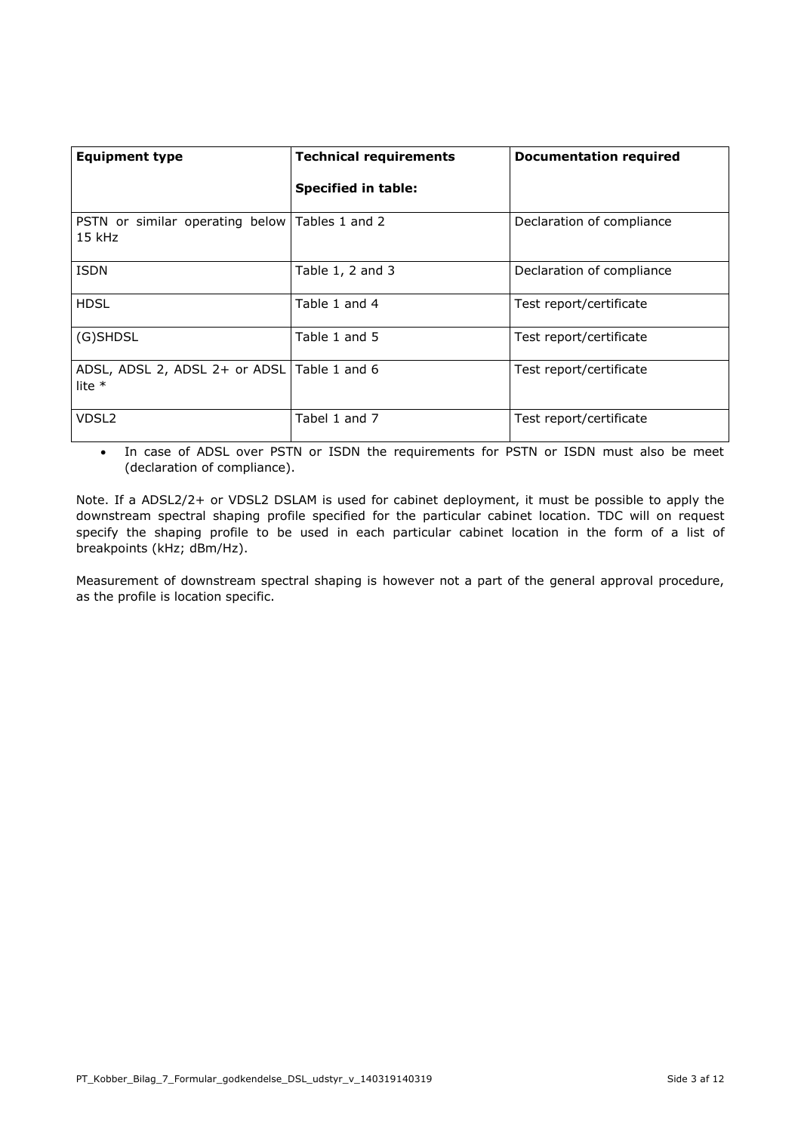| <b>Equipment type</b>                                      | <b>Technical requirements</b> | <b>Documentation required</b> |
|------------------------------------------------------------|-------------------------------|-------------------------------|
|                                                            | <b>Specified in table:</b>    |                               |
| PSTN or similar operating below Tables 1 and 2<br>$15$ kHz |                               | Declaration of compliance     |
| <b>ISDN</b>                                                | Table $1, 2$ and $3$          | Declaration of compliance     |
| <b>HDSL</b>                                                | Table 1 and 4                 | Test report/certificate       |
| (G)SHDSL                                                   | Table 1 and 5                 | Test report/certificate       |
| ADSL, ADSL 2, ADSL 2+ or ADSL Table 1 and 6<br>lite $*$    |                               | Test report/certificate       |
| VDSL <sub>2</sub>                                          | Tabel 1 and 7                 | Test report/certificate       |

• In case of ADSL over PSTN or ISDN the requirements for PSTN or ISDN must also be meet (declaration of compliance).

Note. If a ADSL2/2+ or VDSL2 DSLAM is used for cabinet deployment, it must be possible to apply the downstream spectral shaping profile specified for the particular cabinet location. TDC will on request specify the shaping profile to be used in each particular cabinet location in the form of a list of breakpoints (kHz; dBm/Hz).

Measurement of downstream spectral shaping is however not a part of the general approval procedure, as the profile is location specific.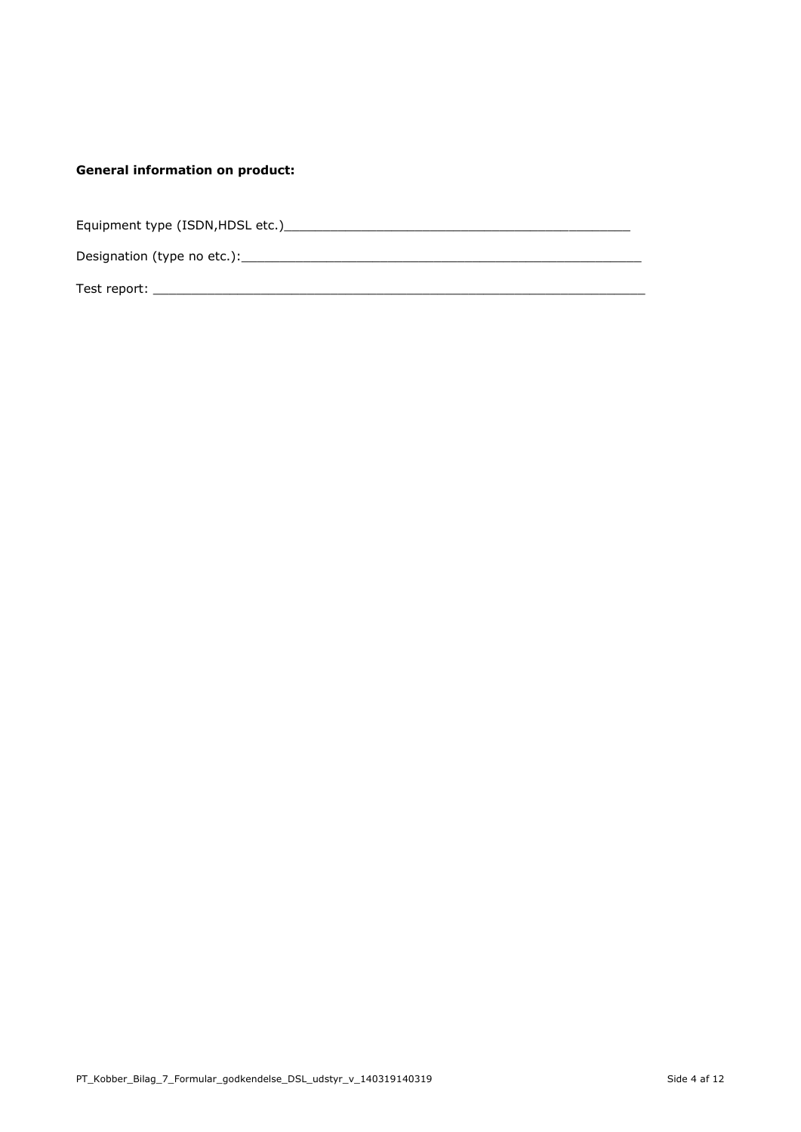### **General information on product:**

| Equipment type (ISDN, HDSL etc.) |  |
|----------------------------------|--|
| Designation (type no etc.):      |  |
| Test report:                     |  |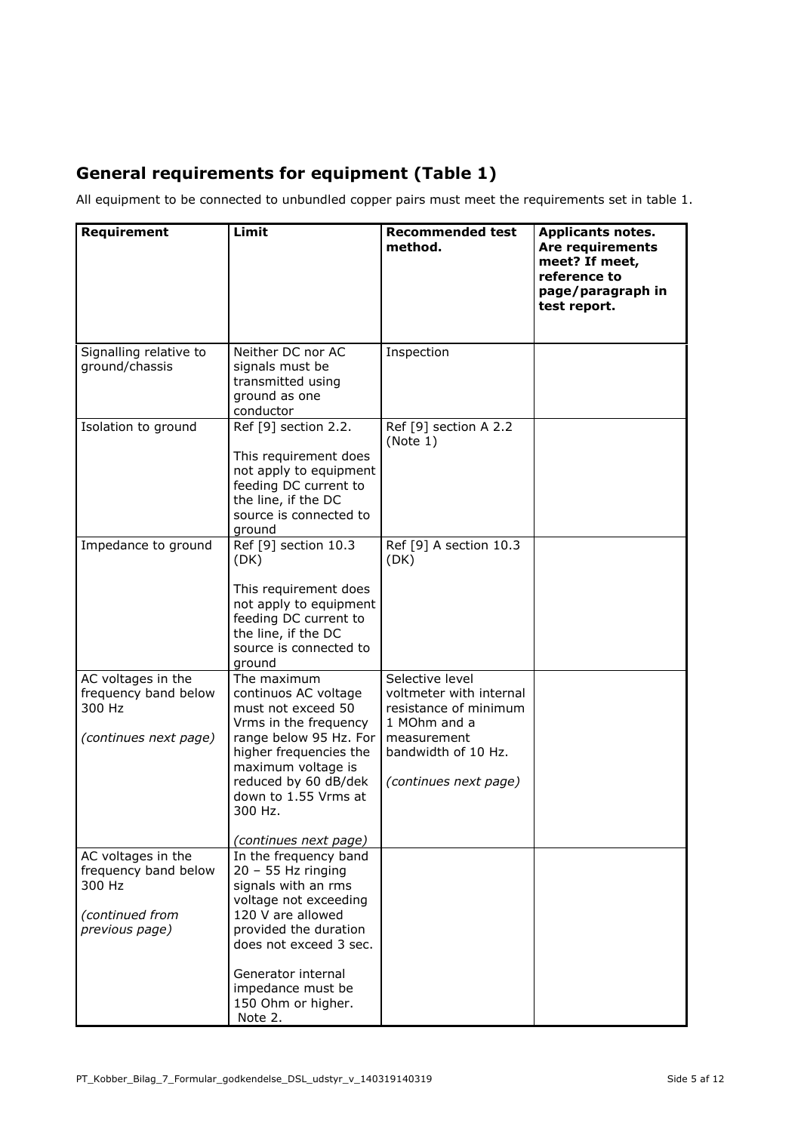# **General requirements for equipment (Table 1)**

All equipment to be connected to unbundled copper pairs must meet the requirements set in table 1.

| Requirement                                                                               | Limit                                                                                                                                                                                                                                             | <b>Recommended test</b><br>method.                                                                                                                 | <b>Applicants notes.</b><br><b>Are requirements</b><br>meet? If meet,<br>reference to<br>page/paragraph in<br>test report. |
|-------------------------------------------------------------------------------------------|---------------------------------------------------------------------------------------------------------------------------------------------------------------------------------------------------------------------------------------------------|----------------------------------------------------------------------------------------------------------------------------------------------------|----------------------------------------------------------------------------------------------------------------------------|
| Signalling relative to<br>ground/chassis                                                  | Neither DC nor AC<br>signals must be<br>transmitted using<br>ground as one<br>conductor                                                                                                                                                           | Inspection                                                                                                                                         |                                                                                                                            |
| Isolation to ground                                                                       | Ref [9] section 2.2.<br>This requirement does<br>not apply to equipment<br>feeding DC current to<br>the line, if the DC<br>source is connected to<br>ground                                                                                       | Ref [9] section A 2.2<br>(Note 1)                                                                                                                  |                                                                                                                            |
| Impedance to ground                                                                       | Ref [9] section 10.3<br>(DK)<br>This requirement does<br>not apply to equipment<br>feeding DC current to<br>the line, if the DC<br>source is connected to<br>ground                                                                               | Ref [9] A section 10.3<br>(DK)                                                                                                                     |                                                                                                                            |
| AC voltages in the<br>frequency band below<br>300 Hz<br>(continues next page)             | The maximum<br>continuos AC voltage<br>must not exceed 50<br>Vrms in the frequency<br>range below 95 Hz. For<br>higher frequencies the<br>maximum voltage is<br>reduced by 60 dB/dek<br>down to 1.55 Vrms at<br>300 Hz.<br>(continues next page)  | Selective level<br>voltmeter with internal<br>resistance of minimum<br>1 MOhm and a<br>measurement<br>bandwidth of 10 Hz.<br>(continues next page) |                                                                                                                            |
| AC voltages in the<br>frequency band below<br>300 Hz<br>(continued from<br>previous page) | In the frequency band<br>$20 - 55$ Hz ringing<br>signals with an rms<br>voltage not exceeding<br>120 V are allowed<br>provided the duration<br>does not exceed 3 sec.<br>Generator internal<br>impedance must be<br>150 Ohm or higher.<br>Note 2. |                                                                                                                                                    |                                                                                                                            |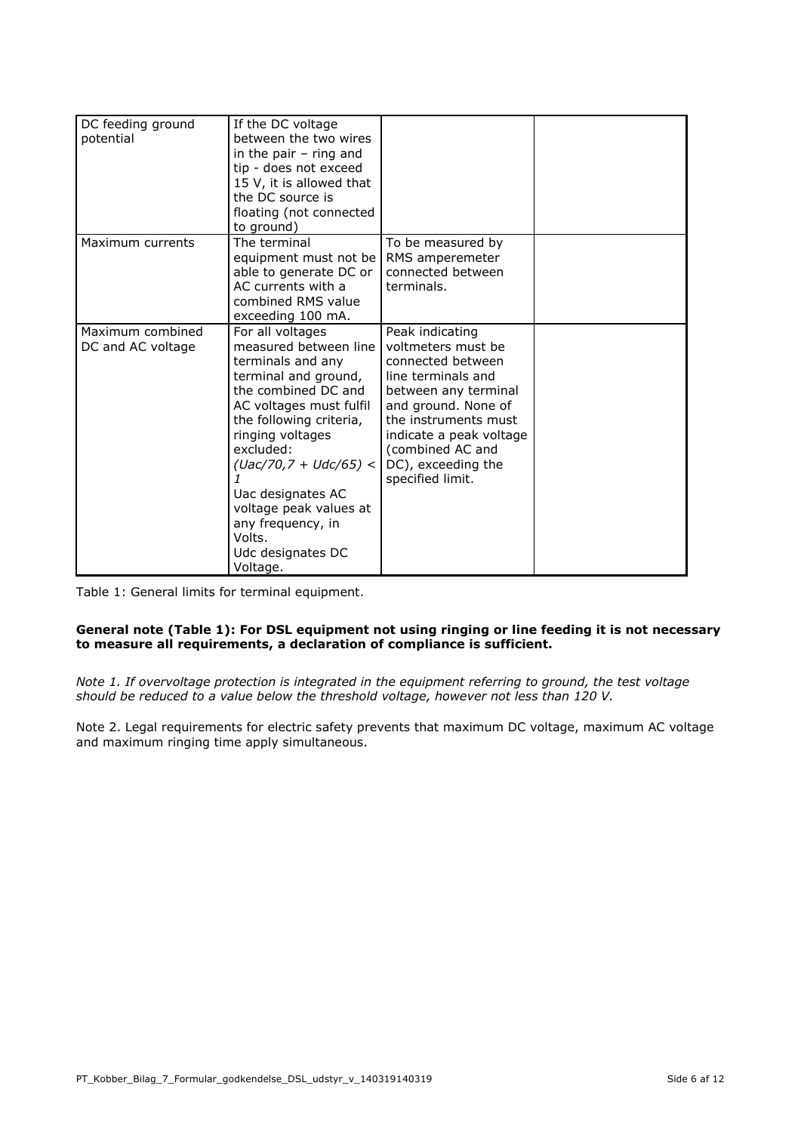| DC feeding ground<br>potential        | If the DC voltage<br>between the two wires<br>in the pair $-$ ring and<br>tip - does not exceed<br>15 V, it is allowed that<br>the DC source is<br>floating (not connected<br>to ground)                                                                                                                                                        |                                                                                                                                                                                                                                                  |  |
|---------------------------------------|-------------------------------------------------------------------------------------------------------------------------------------------------------------------------------------------------------------------------------------------------------------------------------------------------------------------------------------------------|--------------------------------------------------------------------------------------------------------------------------------------------------------------------------------------------------------------------------------------------------|--|
| Maximum currents                      | The terminal<br>equipment must not be<br>able to generate DC or<br>AC currents with a<br>combined RMS value<br>exceeding 100 mA.                                                                                                                                                                                                                | To be measured by<br>RMS amperemeter<br>connected between<br>terminals.                                                                                                                                                                          |  |
| Maximum combined<br>DC and AC voltage | For all voltages<br>measured between line<br>terminals and any<br>terminal and ground,<br>the combined DC and<br>AC voltages must fulfil<br>the following criteria,<br>ringing voltages<br>excluded:<br>$(Uac/70, 7 + Udc/65)$ <<br>Uac designates AC<br>voltage peak values at<br>any frequency, in<br>Volts.<br>Udc designates DC<br>Voltage. | Peak indicating<br>voltmeters must be<br>connected between<br>line terminals and<br>between any terminal<br>and ground. None of<br>the instruments must<br>indicate a peak voltage<br>(combined AC and<br>DC), exceeding the<br>specified limit. |  |

Table 1: General limits for terminal equipment.

#### **General note (Table 1): For DSL equipment not using ringing or line feeding it is not necessary to measure all requirements, a declaration of compliance is sufficient.**

*Note 1. If overvoltage protection is integrated in the equipment referring to ground, the test voltage should be reduced to a value below the threshold voltage, however not less than 120 V.* 

Note 2. Legal requirements for electric safety prevents that maximum DC voltage, maximum AC voltage and maximum ringing time apply simultaneous.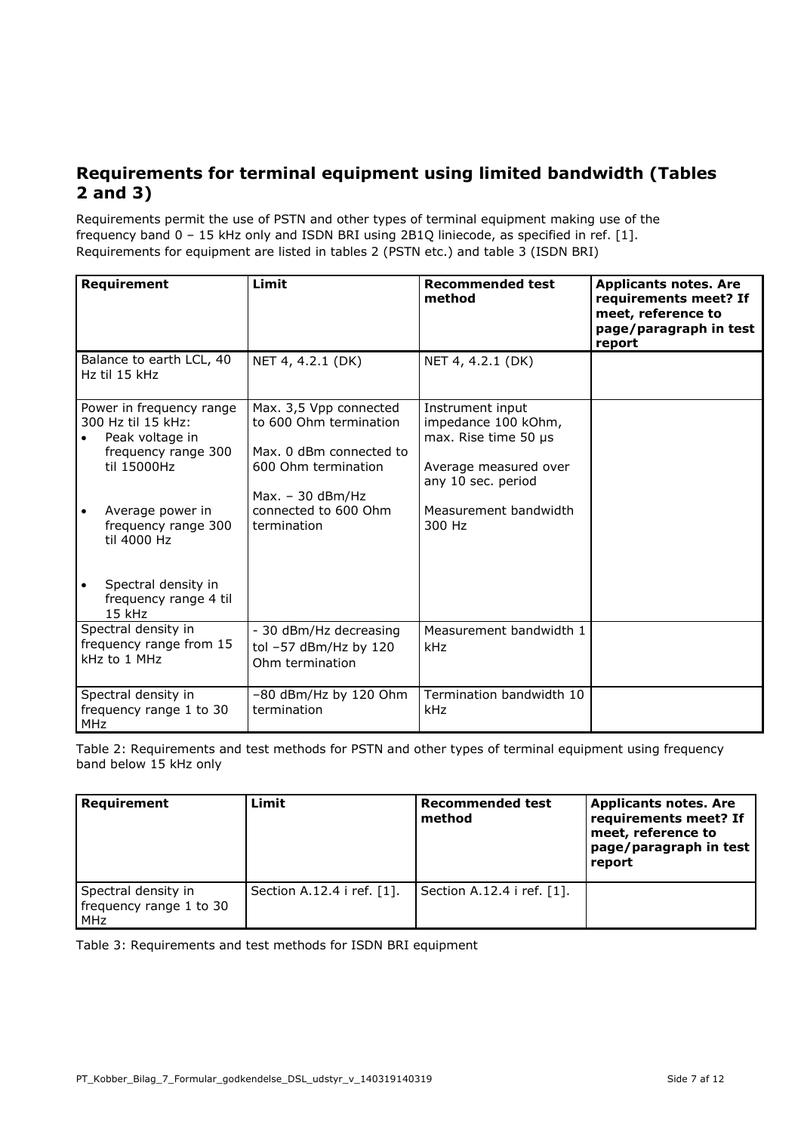### **Requirements for terminal equipment using limited bandwidth (Tables 2 and 3)**

Requirements permit the use of PSTN and other types of terminal equipment making use of the frequency band 0 – 15 kHz only and ISDN BRI using 2B1Q liniecode, as specified in ref. [1]. Requirements for equipment are listed in tables 2 (PSTN etc.) and table 3 (ISDN BRI)

| <b>Requirement</b>                                                                                                                                                | Limit                                                                                                                                                           | <b>Recommended test</b><br>method                                                                                                                 | <b>Applicants notes. Are</b><br>requirements meet? If<br>meet, reference to<br>page/paragraph in test<br>report |
|-------------------------------------------------------------------------------------------------------------------------------------------------------------------|-----------------------------------------------------------------------------------------------------------------------------------------------------------------|---------------------------------------------------------------------------------------------------------------------------------------------------|-----------------------------------------------------------------------------------------------------------------|
| Balance to earth LCL, 40<br>Hz til 15 kHz                                                                                                                         | NET 4, 4.2.1 (DK)                                                                                                                                               | NET 4, 4.2.1 (DK)                                                                                                                                 |                                                                                                                 |
| Power in frequency range<br>300 Hz til 15 kHz:<br>Peak voltage in<br>frequency range 300<br>til 15000Hz<br>Average power in<br>frequency range 300<br>til 4000 Hz | Max. 3,5 Vpp connected<br>to 600 Ohm termination<br>Max. 0 dBm connected to<br>600 Ohm termination<br>$Max. - 30$ dBm/Hz<br>connected to 600 Ohm<br>termination | Instrument input<br>impedance 100 kOhm,<br>max. Rise time 50 µs<br>Average measured over<br>any 10 sec. period<br>Measurement bandwidth<br>300 Hz |                                                                                                                 |
| Spectral density in<br>frequency range 4 til<br>$15$ kHz                                                                                                          |                                                                                                                                                                 |                                                                                                                                                   |                                                                                                                 |
| Spectral density in<br>frequency range from 15<br>kHz to 1 MHz                                                                                                    | - 30 dBm/Hz decreasing<br>tol -57 dBm/Hz by 120<br>Ohm termination                                                                                              | Measurement bandwidth 1<br>kHz                                                                                                                    |                                                                                                                 |
| Spectral density in<br>frequency range 1 to 30<br><b>MHz</b>                                                                                                      | $-80$ dBm/Hz by 120 Ohm<br>termination                                                                                                                          | Termination bandwidth 10<br>kHz                                                                                                                   |                                                                                                                 |

Table 2: Requirements and test methods for PSTN and other types of terminal equipment using frequency band below 15 kHz only

| <b>Requirement</b>                                    | Limit                      | <b>Recommended test</b><br>method | <b>Applicants notes. Are</b><br>requirements meet? If<br>meet, reference to<br>page/paragraph in test<br>report |
|-------------------------------------------------------|----------------------------|-----------------------------------|-----------------------------------------------------------------------------------------------------------------|
| Spectral density in<br>frequency range 1 to 30<br>MHz | Section A.12.4 i ref. [1]. | Section A.12.4 i ref. [1].        |                                                                                                                 |

Table 3: Requirements and test methods for ISDN BRI equipment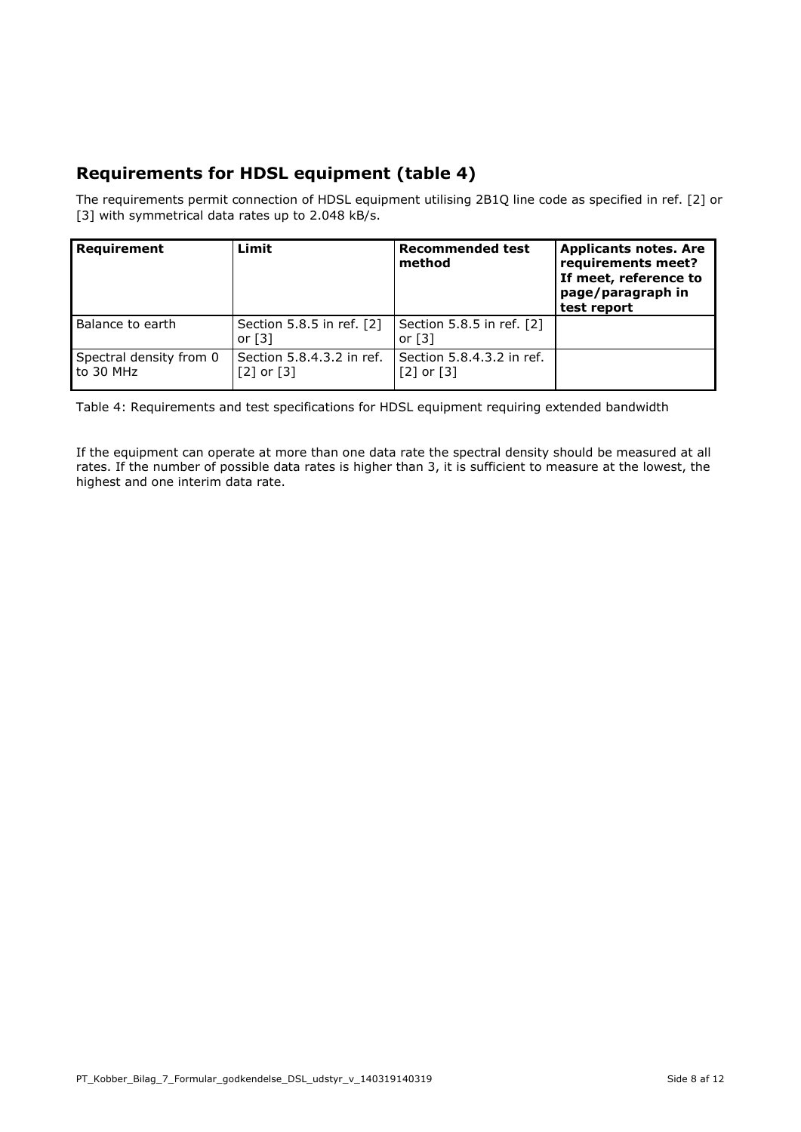### **Requirements for HDSL equipment (table 4)**

The requirements permit connection of HDSL equipment utilising 2B1Q line code as specified in ref. [2] or [3] with symmetrical data rates up to 2.048 kB/s.

| Requirement                          | Limit                                             | <b>Recommended test</b><br>method                 | <b>Applicants notes. Are</b><br>requirements meet?<br>If meet, reference to<br>page/paragraph in<br>test report |
|--------------------------------------|---------------------------------------------------|---------------------------------------------------|-----------------------------------------------------------------------------------------------------------------|
| Balance to earth                     | Section 5.8.5 in ref. [2]<br>or $\lceil 3 \rceil$ | Section 5.8.5 in ref. [2]<br>or $\lceil 3 \rceil$ |                                                                                                                 |
| Spectral density from 0<br>to 30 MHz | Section 5.8.4.3.2 in ref.<br>$[2]$ or $[3]$       | Section 5.8.4.3.2 in ref.<br>$[2]$ or $[3]$       |                                                                                                                 |

Table 4: Requirements and test specifications for HDSL equipment requiring extended bandwidth

If the equipment can operate at more than one data rate the spectral density should be measured at all rates. If the number of possible data rates is higher than 3, it is sufficient to measure at the lowest, the highest and one interim data rate.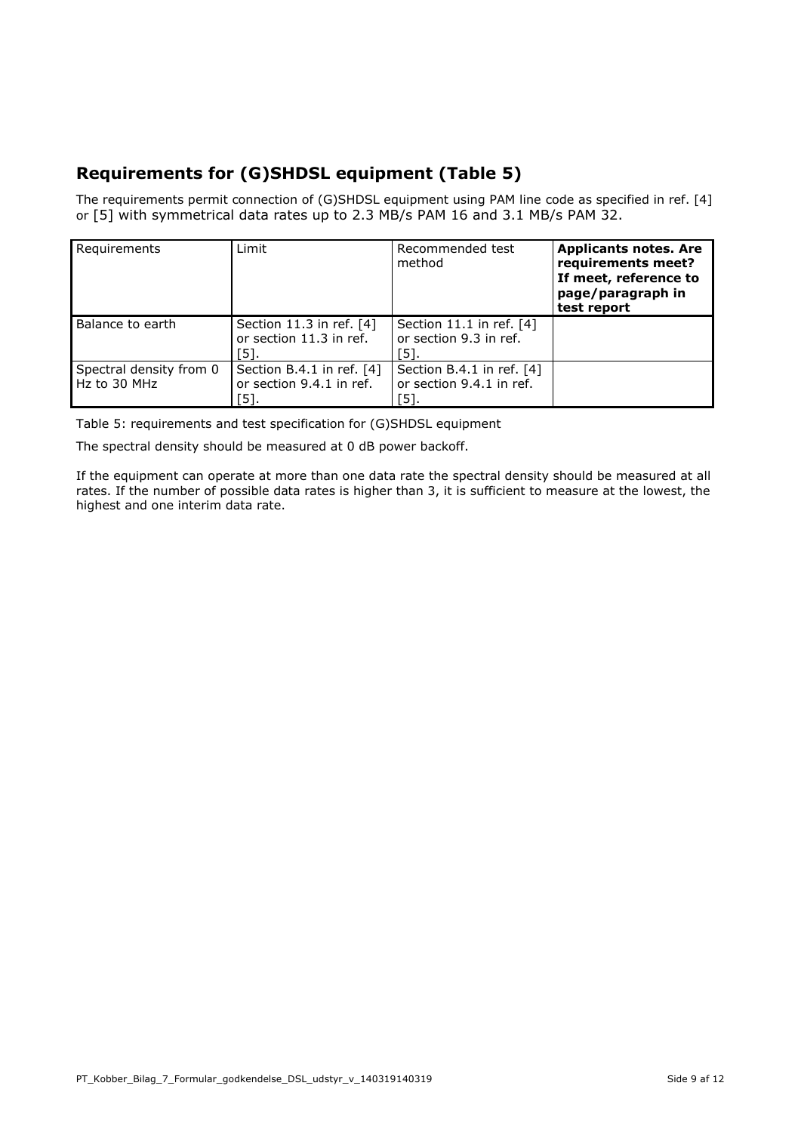# **Requirements for (G)SHDSL equipment (Table 5)**

The requirements permit connection of (G)SHDSL equipment using PAM line code as specified in ref. [4] or [5] with symmetrical data rates up to 2.3 MB/s PAM 16 and 3.1 MB/s PAM 32.

| Requirements                            | Limit                                                         | Recommended test<br>method                                    | <b>Applicants notes. Are</b><br>requirements meet?<br>If meet, reference to<br>page/paragraph in<br>test report |
|-----------------------------------------|---------------------------------------------------------------|---------------------------------------------------------------|-----------------------------------------------------------------------------------------------------------------|
| Balance to earth                        | Section 11.3 in ref. [4]<br>or section 11.3 in ref.<br>้51.   | Section 11.1 in ref. $[4]$<br>or section 9.3 in ref.<br>[5].  |                                                                                                                 |
| Spectral density from 0<br>Hz to 30 MHz | Section B.4.1 in ref. [4]<br>or section 9.4.1 in ref.<br>[5]. | Section B.4.1 in ref. [4]<br>or section 9.4.1 in ref.<br>[5]. |                                                                                                                 |

Table 5: requirements and test specification for (G)SHDSL equipment

The spectral density should be measured at 0 dB power backoff.

If the equipment can operate at more than one data rate the spectral density should be measured at all rates. If the number of possible data rates is higher than 3, it is sufficient to measure at the lowest, the highest and one interim data rate.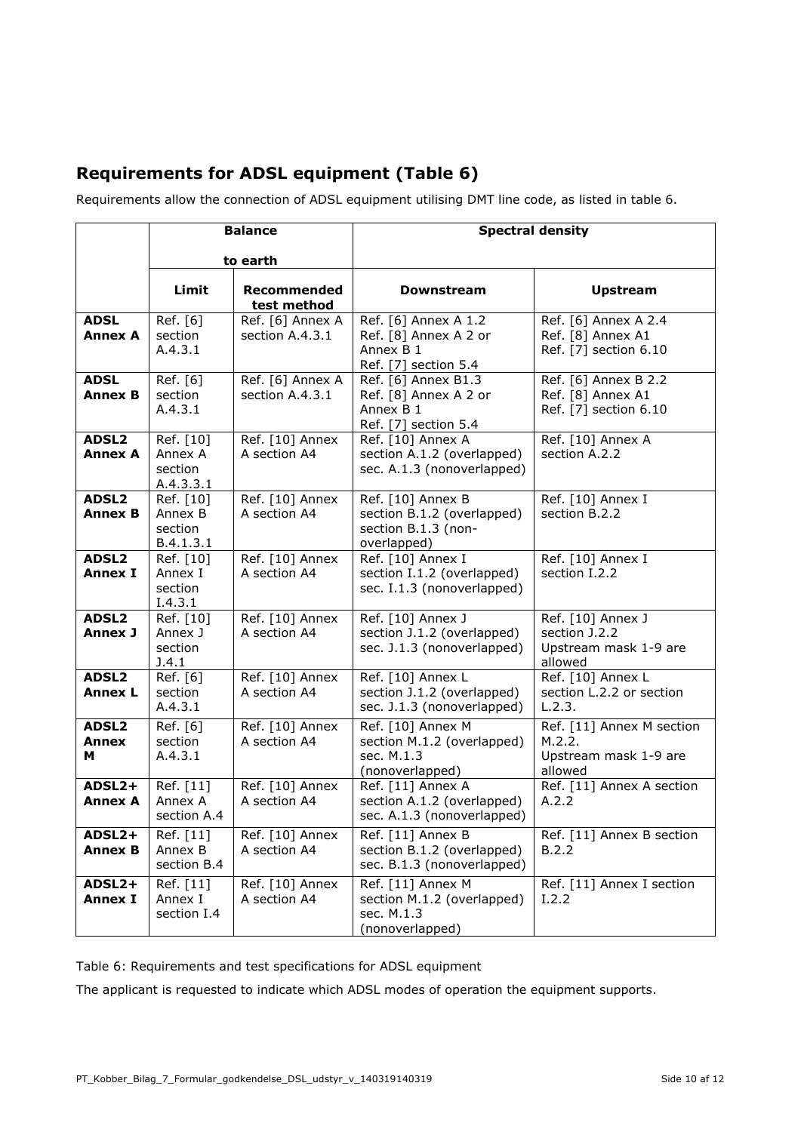## **Requirements for ADSL equipment (Table 6)**

Requirements allow the connection of ADSL equipment utilising DMT line code, as listed in table 6.

|                                     | <b>Balance</b>                                                     |                                     | <b>Spectral density</b>                                                                        |                                                                         |
|-------------------------------------|--------------------------------------------------------------------|-------------------------------------|------------------------------------------------------------------------------------------------|-------------------------------------------------------------------------|
|                                     | to earth                                                           |                                     |                                                                                                |                                                                         |
|                                     | Limit                                                              | <b>Recommended</b><br>test method   | Downstream                                                                                     | <b>Upstream</b>                                                         |
| <b>ADSL</b><br><b>Annex A</b>       | Ref. [6]<br>section<br>A.4.3.1                                     | Ref. [6] Annex A<br>section A.4.3.1 | Ref. [6] Annex A 1.2<br>Ref. [8] Annex A 2 or<br>Annex B 1<br>Ref. [7] section 5.4             | Ref. [6] Annex A 2.4<br>Ref. [8] Annex A1<br>Ref. [7] section 6.10      |
| <b>ADSL</b><br><b>Annex B</b>       | Ref. [6]<br>section<br>A.4.3.1                                     | Ref. [6] Annex A<br>section A.4.3.1 | Ref. [6] Annex $\overline{B1.3}$<br>Ref. [8] Annex A 2 or<br>Annex B 1<br>Ref. [7] section 5.4 | Ref. [6] Annex B 2.2<br>Ref. [8] Annex A1<br>Ref. [7] section 6.10      |
| ADSL <sub>2</sub><br><b>Annex A</b> | Ref. [10]<br>Annex A<br>section<br>A.4.3.3.1                       | Ref. [10] Annex<br>A section A4     | Ref. [10] Annex A<br>section A.1.2 (overlapped)<br>sec. A.1.3 (nonoverlapped)                  | Ref. [10] Annex A<br>section A.2.2                                      |
| ADSL <sub>2</sub><br><b>Annex B</b> | $\overline{\mathsf{Ref.}}$ [10]<br>Annex B<br>section<br>B.4.1.3.1 | Ref. [10] Annex<br>A section A4     | Ref. [10] Annex B<br>section B.1.2 (overlapped)<br>section B.1.3 (non-<br>overlapped)          | Ref. [10] Annex I<br>section B.2.2                                      |
| ADSL <sub>2</sub><br><b>Annex I</b> | Ref. [10]<br>Annex I<br>section<br>I.4.3.1                         | Ref. [10] Annex<br>A section A4     | Ref. [10] Annex I<br>section I.1.2 (overlapped)<br>sec. I.1.3 (nonoverlapped)                  | Ref. [10] Annex I<br>section I.2.2                                      |
| ADSL2<br>Annex J                    | Ref. [10]<br>Annex J<br>section<br>J.4.1                           | Ref. [10] Annex<br>A section A4     | Ref. [10] Annex J<br>section J.1.2 (overlapped)<br>sec. J.1.3 (nonoverlapped)                  | Ref. [10] Annex J<br>section J.2.2<br>Upstream mask 1-9 are<br>allowed  |
| ADSL <sub>2</sub><br><b>Annex L</b> | Ref. [6]<br>section<br>A.4.3.1                                     | Ref. [10] Annex<br>A section A4     | Ref. [10] Annex L<br>section J.1.2 (overlapped)<br>sec. J.1.3 (nonoverlapped)                  | Ref. [10] Annex L<br>section L.2.2 or section<br>L.2.3.                 |
| <b>ADSL2</b><br>Annex<br>м          | Ref. [6]<br>section<br>A.4.3.1                                     | Ref. [10] Annex<br>A section A4     | Ref. [10] Annex M<br>section M.1.2 (overlapped)<br>sec. M.1.3<br>(nonoverlapped)               | Ref. [11] Annex M section<br>M.2.2.<br>Upstream mask 1-9 are<br>allowed |
| ADSL2+<br><b>Annex A</b>            | Ref. [11]<br>Annex A<br>section A.4                                | Ref. [10] Annex<br>A section A4     | Ref. [11] Annex A<br>section A.1.2 (overlapped)<br>sec. A.1.3 (nonoverlapped)                  | Ref. [11] Annex A section<br>A.2.2                                      |
| ADSL2+<br><b>Annex B</b>            | Ref. [11]<br>Annex B<br>section B.4                                | Ref. [10] Annex<br>A section A4     | Ref. [11] Annex B<br>section B.1.2 (overlapped)<br>sec. B.1.3 (nonoverlapped)                  | Ref. [11] Annex B section<br>B.2.2                                      |
| ADSL2+<br><b>Annex I</b>            | Ref. [11]<br>Annex I<br>section I.4                                | Ref. [10] Annex<br>A section A4     | Ref. [11] Annex M<br>section M.1.2 (overlapped)<br>sec. M.1.3<br>(nonoverlapped)               | Ref. [11] Annex I section<br>I.2.2                                      |

Table 6: Requirements and test specifications for ADSL equipment

The applicant is requested to indicate which ADSL modes of operation the equipment supports.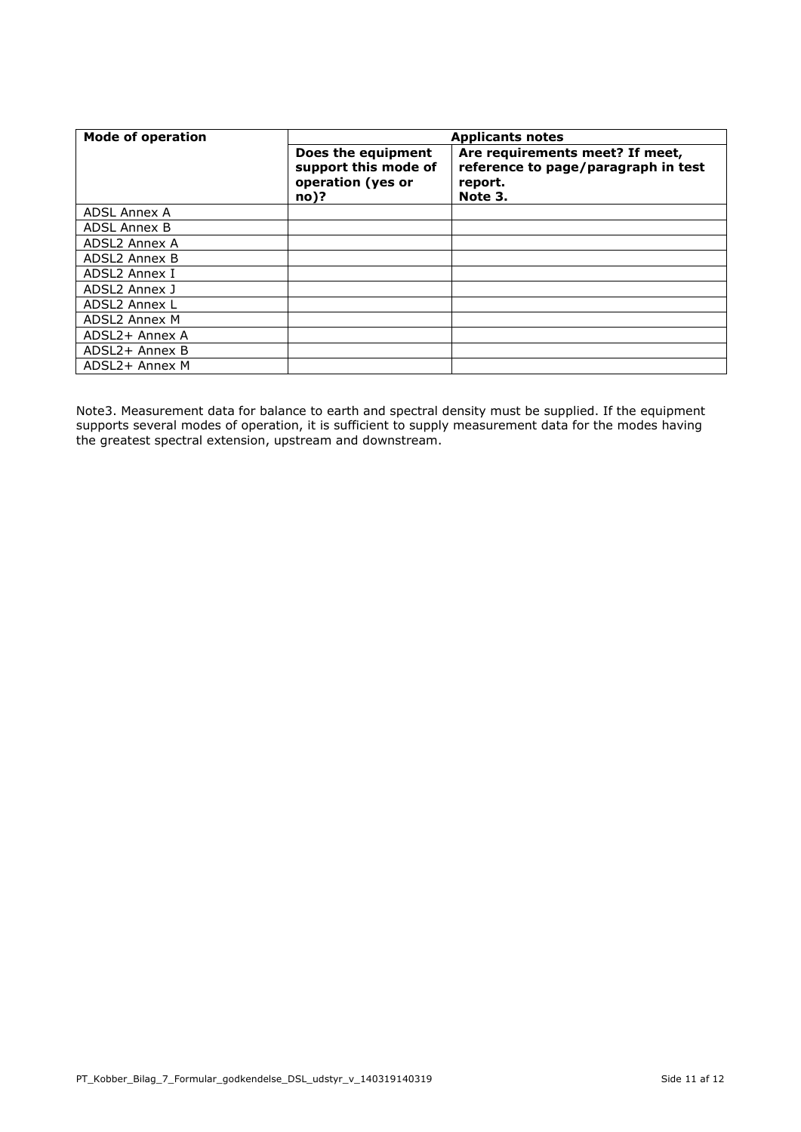| <b>Mode of operation</b> | <b>Applicants notes</b>                                                   |                                                                                              |  |
|--------------------------|---------------------------------------------------------------------------|----------------------------------------------------------------------------------------------|--|
|                          | Does the equipment<br>support this mode of<br>operation (yes or<br>$no$ ? | Are requirements meet? If meet,<br>reference to page/paragraph in test<br>report.<br>Note 3. |  |
| ADSL Annex A             |                                                                           |                                                                                              |  |
| <b>ADSL Annex B</b>      |                                                                           |                                                                                              |  |
| ADSL2 Annex A            |                                                                           |                                                                                              |  |
| ADSL2 Annex B            |                                                                           |                                                                                              |  |
| ADSL2 Annex I            |                                                                           |                                                                                              |  |
| ADSL2 Annex J            |                                                                           |                                                                                              |  |
| ADSL2 Annex L            |                                                                           |                                                                                              |  |
| ADSL2 Annex M            |                                                                           |                                                                                              |  |
| ADSL2+ Annex A           |                                                                           |                                                                                              |  |
| ADSL2+ Annex B           |                                                                           |                                                                                              |  |
| ADSL2+ Annex M           |                                                                           |                                                                                              |  |

Note3. Measurement data for balance to earth and spectral density must be supplied. If the equipment supports several modes of operation, it is sufficient to supply measurement data for the modes having the greatest spectral extension, upstream and downstream.